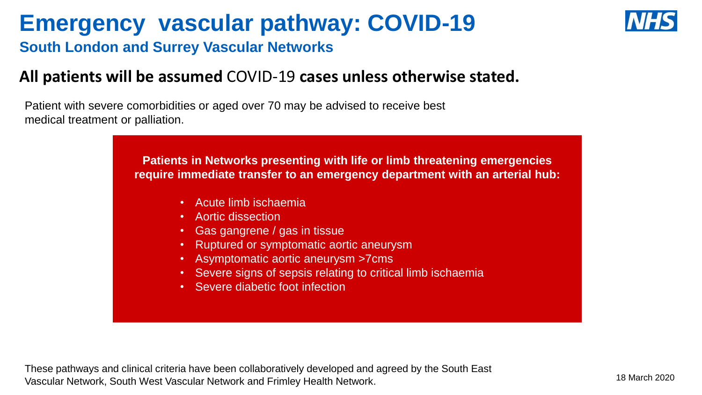## **Emergency vascular pathway: COVID-19**



**South London and Surrey Vascular Networks** 

#### **All patients will be assumed** COVID-19 **cases unless otherwise stated.**

Patient with severe comorbidities or aged over 70 may be advised to receive best medical treatment or palliation.

> **Patients in Networks presenting with life or limb threatening emergencies require immediate transfer to an emergency department with an arterial hub:**

- Acute limb ischaemia
- Aortic dissection
- Gas gangrene / gas in tissue
- Ruptured or symptomatic aortic aneurysm
- Asymptomatic aortic aneurysm >7cms
- Severe signs of sepsis relating to critical limb ischaemia
- Severe diabetic foot infection

These pathways and clinical criteria have been collaboratively developed and agreed by the South East Vascular Network, South West Vascular Network and Frimley Health Network. 18 March 2020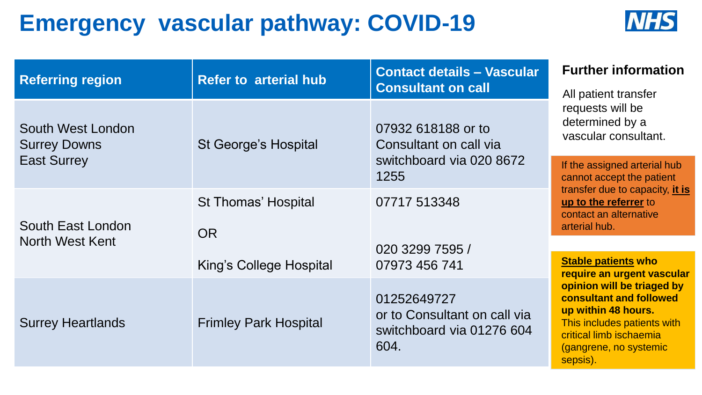## **Emergency vascular pathway: COVID-19**



| <b>Referring region</b>                  | <b>Refer to arterial hub</b> | <b>Contact details - Vascular</b><br><b>Consultant on call</b>                   | <b>Further information</b><br>All patient transfer                                                                                                                                                                                       |
|------------------------------------------|------------------------------|----------------------------------------------------------------------------------|------------------------------------------------------------------------------------------------------------------------------------------------------------------------------------------------------------------------------------------|
| South West London<br><b>Surrey Downs</b> | <b>St George's Hospital</b>  | 07932 618188 or to<br>Consultant on call via                                     | requests will be<br>determined by a<br>vascular consultant.                                                                                                                                                                              |
| <b>East Surrey</b>                       |                              | switchboard via 020 8672<br>1255                                                 | If the assigned arterial hub<br>cannot accept the patient                                                                                                                                                                                |
| South East London<br>North West Kent     | <b>St Thomas' Hospital</b>   | 07717 513348                                                                     | transfer due to capacity, it is<br>up to the referrer to<br>contact an alternative<br>arterial hub.                                                                                                                                      |
|                                          | <b>OR</b>                    |                                                                                  |                                                                                                                                                                                                                                          |
|                                          | King's College Hospital      | 020 3299 7595 /<br>07973 456 741                                                 | <b>Stable patients who</b><br>require an urgent vascular<br>opinion will be triaged by<br>consultant and followed<br>up within 48 hours.<br>This includes patients with<br>critical limb ischaemia<br>(gangrene, no systemic<br>sepsis). |
| <b>Surrey Heartlands</b>                 | <b>Frimley Park Hospital</b> | 01252649727<br>or to Consultant on call via<br>switchboard via 01276 604<br>604. |                                                                                                                                                                                                                                          |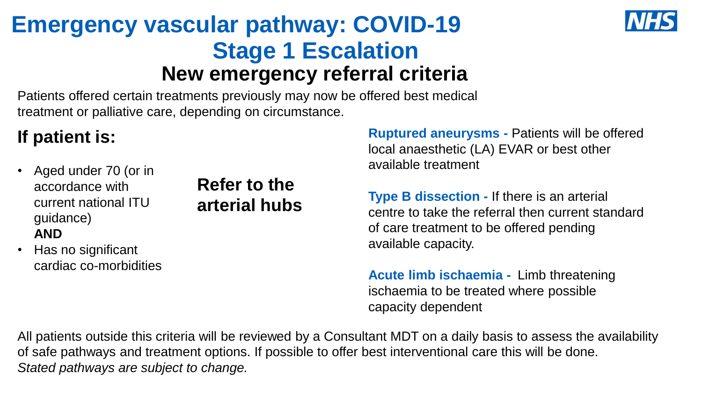## **Emergency vascular pathway: COVID-19 Stage 1 Escalation New emergency referral criteria**



### **If patient is:**

• Aged under 70 (or in accordance with current national ITU guidance) **AND**

**Refer to the arterial hubs** 

• Has no significant cardiac co-morbidities **Ruptured aneurysms -** Patients will be offered local anaesthetic (LA) EVAR or best other available treatment

**Type B dissection -** If there is an arterial centre to take the referral then current standard of care treatment to be offered pending available capacity.

**Acute limb ischaemia -** Limb threatening ischaemia to be treated where possible capacity dependent

All patients outside this criteria will be reviewed by a Consultant MDT on a daily basis to assess the availability of safe pathways and treatment options. If possible to offer best interventional care this will be done. *Stated pathways are subject to change.*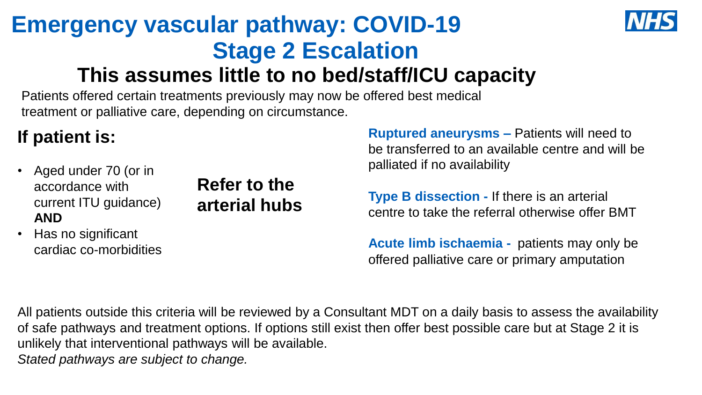# **Emergency vascular pathway: COVID-19 Stage 2 Escalation**



### **This assumes little to no bed/staff/ICU capacity**

Patients offered certain treatments previously may now be offered best medical treatment or palliative care, depending on circumstance.

### **If patient is:**

• Aged under 70 (or in accordance with current ITU guidance) **AND**

**Refer to the arterial hubs**  **Ruptured aneurysms –** Patients will need to be transferred to an available centre and will be palliated if no availability

**Type B dissection -** If there is an arterial centre to take the referral otherwise offer BMT

• Has no significant cardiac co-morbidities

**Acute limb ischaemia -** patients may only be offered palliative care or primary amputation

All patients outside this criteria will be reviewed by a Consultant MDT on a daily basis to assess the availability of safe pathways and treatment options. If options still exist then offer best possible care but at Stage 2 it is unlikely that interventional pathways will be available. *Stated pathways are subject to change.*